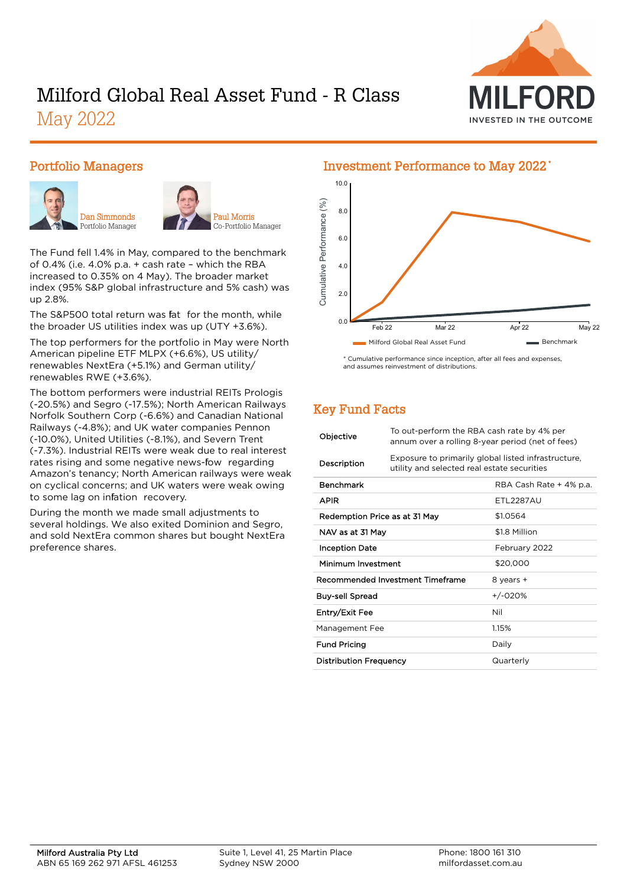

# Milford Global Real Asset Fund - R Class May 2022

#### Portfolio Managers





Paul Morris Co-Portfolio Manager

The Fund fell 1.4% in May, compared to the benchmark of 0.4% (i.e. 4.0% p.a. + cash rate – which the RBA increased to 0.35% on 4 May). The broader market index (95% S&P global infrastructure and 5% cash) was up 2.8%.

The S&P500 total return was fat for the month, while the broader US utilities index was up (UTY +3.6%).

The top performers for the portfolio in May were North American pipeline ETF MLPX (+6.6%), US utility/ renewables NextEra (+5.1%) and German utility/ renewables RWE (+3.6%).

The bottom performers were industrial REITs Prologis (-20.5%) and Segro (-17.5%); North American Railways Norfolk Southern Corp (-6.6%) and Canadian National Railways (-4.8%); and UK water companies Pennon (-10.0%), United Utilities (-8.1%), and Severn Trent (-7.3%). Industrial REITs were weak due to real interest rates rising and some negative news-fow regarding Amazon's tenancy; North American railways were weak on cyclical concerns; and UK waters were weak owing to some lag on infation recovery.

During the month we made small adjustments to several holdings. We also exited Dominion and Segro, and sold NextEra common shares but bought NextEra preference shares.

## 10.0 Cumulative Performance (%) Cumulative Performance (%) 8.0 6.0 4.0 2.0 0.0 Feb 22 Mar 22 Apr 22 May 22 Milford Global Real Asset Fund Benchmark

\* Cumulative performance since inception, after all fees and expenses, and assumes reinvestment of distribution

## Key Fund Facts

| Objective                        | To out-perform the RBA cash rate by 4% per<br>annum over a rolling 8-year period (net of fees)     |                         |  |
|----------------------------------|----------------------------------------------------------------------------------------------------|-------------------------|--|
| Description                      | Exposure to primarily global listed infrastructure,<br>utility and selected real estate securities |                         |  |
| <b>Benchmark</b>                 |                                                                                                    | RBA Cash Rate + 4% p.a. |  |
| APIR                             |                                                                                                    | <b>FTI 2287AU</b>       |  |
| Redemption Price as at 31 May    |                                                                                                    | \$1.0564                |  |
| NAV as at 31 May                 |                                                                                                    | \$1.8 Million           |  |
| <b>Inception Date</b>            |                                                                                                    | February 2022           |  |
| Minimum Investment               |                                                                                                    | \$20,000                |  |
| Recommended Investment Timeframe |                                                                                                    | 8 years +               |  |
| Buy-sell Spread                  |                                                                                                    | +/-020%                 |  |
| Entry/Exit Fee                   |                                                                                                    | Nil                     |  |
| Management Fee                   |                                                                                                    | 1.15%                   |  |
| <b>Fund Pricing</b>              |                                                                                                    | Daily                   |  |
| <b>Distribution Frequency</b>    |                                                                                                    | Quarterly               |  |

#### Investment Performance to May 2022 \*